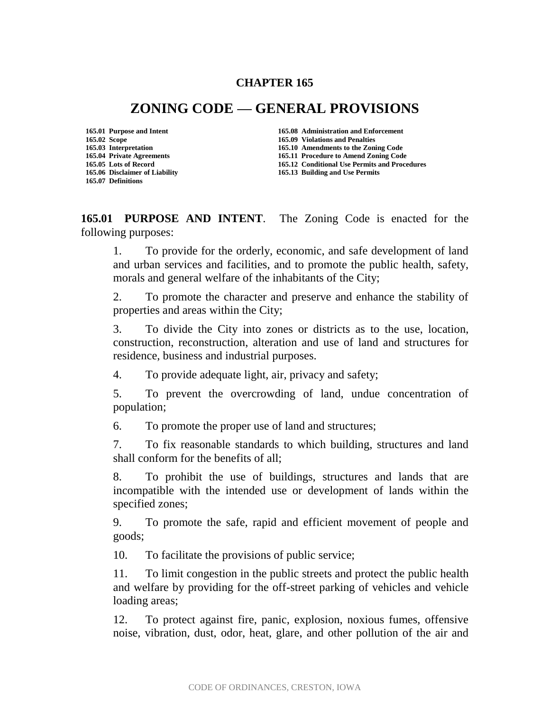### **CHAPTER 165**

# **ZONING CODE — GENERAL PROVISIONS**

**165.07 Definitions**

**165.01 Purpose and Intent 165.08 Administration and Enforcement 165.02 Scope 165.09 Violations and Penalties 165.03 Interpretation 165.10 Amendments to the Zoning Code 165.04 Private Agreements 165.11 Procedure to Amend Zoning Code 165.12 Conditional Use Permits and Procedures** 

**165.06 Disclaimer of Liability 165.13 Building and Use Permits**

**165.01 PURPOSE AND INTENT**. The Zoning Code is enacted for the following purposes:

1. To provide for the orderly, economic, and safe development of land and urban services and facilities, and to promote the public health, safety, morals and general welfare of the inhabitants of the City;

2. To promote the character and preserve and enhance the stability of properties and areas within the City;

3. To divide the City into zones or districts as to the use, location, construction, reconstruction, alteration and use of land and structures for residence, business and industrial purposes.

4. To provide adequate light, air, privacy and safety;

5. To prevent the overcrowding of land, undue concentration of population;

6. To promote the proper use of land and structures;

7. To fix reasonable standards to which building, structures and land shall conform for the benefits of all;

8. To prohibit the use of buildings, structures and lands that are incompatible with the intended use or development of lands within the specified zones;

9. To promote the safe, rapid and efficient movement of people and goods;

10. To facilitate the provisions of public service;

11. To limit congestion in the public streets and protect the public health and welfare by providing for the off-street parking of vehicles and vehicle loading areas;

12. To protect against fire, panic, explosion, noxious fumes, offensive noise, vibration, dust, odor, heat, glare, and other pollution of the air and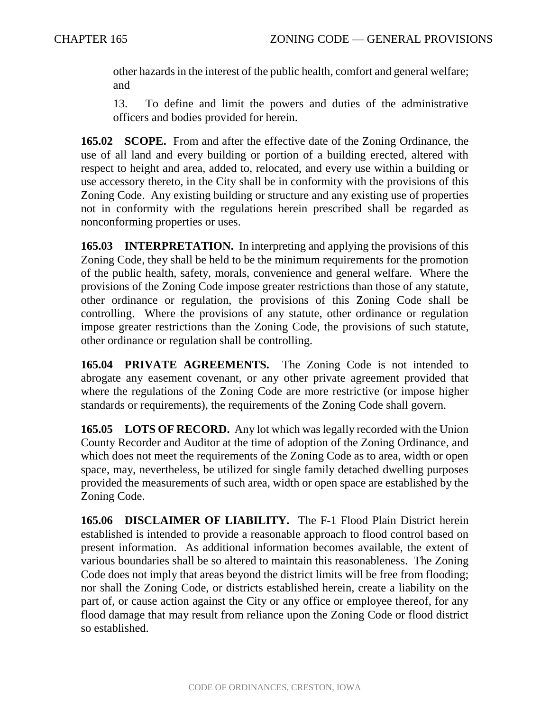other hazards in the interest of the public health, comfort and general welfare; and

13. To define and limit the powers and duties of the administrative officers and bodies provided for herein.

**165.02 SCOPE.** From and after the effective date of the Zoning Ordinance, the use of all land and every building or portion of a building erected, altered with respect to height and area, added to, relocated, and every use within a building or use accessory thereto, in the City shall be in conformity with the provisions of this Zoning Code. Any existing building or structure and any existing use of properties not in conformity with the regulations herein prescribed shall be regarded as nonconforming properties or uses.

**165.03 INTERPRETATION.** In interpreting and applying the provisions of this Zoning Code, they shall be held to be the minimum requirements for the promotion of the public health, safety, morals, convenience and general welfare. Where the provisions of the Zoning Code impose greater restrictions than those of any statute, other ordinance or regulation, the provisions of this Zoning Code shall be controlling. Where the provisions of any statute, other ordinance or regulation impose greater restrictions than the Zoning Code, the provisions of such statute, other ordinance or regulation shall be controlling.

**165.04 PRIVATE AGREEMENTS.** The Zoning Code is not intended to abrogate any easement covenant, or any other private agreement provided that where the regulations of the Zoning Code are more restrictive (or impose higher standards or requirements), the requirements of the Zoning Code shall govern.

**165.05 LOTS OF RECORD.** Any lot which was legally recorded with the Union County Recorder and Auditor at the time of adoption of the Zoning Ordinance, and which does not meet the requirements of the Zoning Code as to area, width or open space, may, nevertheless, be utilized for single family detached dwelling purposes provided the measurements of such area, width or open space are established by the Zoning Code.

**165.06 DISCLAIMER OF LIABILITY.** The F-1 Flood Plain District herein established is intended to provide a reasonable approach to flood control based on present information. As additional information becomes available, the extent of various boundaries shall be so altered to maintain this reasonableness. The Zoning Code does not imply that areas beyond the district limits will be free from flooding; nor shall the Zoning Code, or districts established herein, create a liability on the part of, or cause action against the City or any office or employee thereof, for any flood damage that may result from reliance upon the Zoning Code or flood district so established.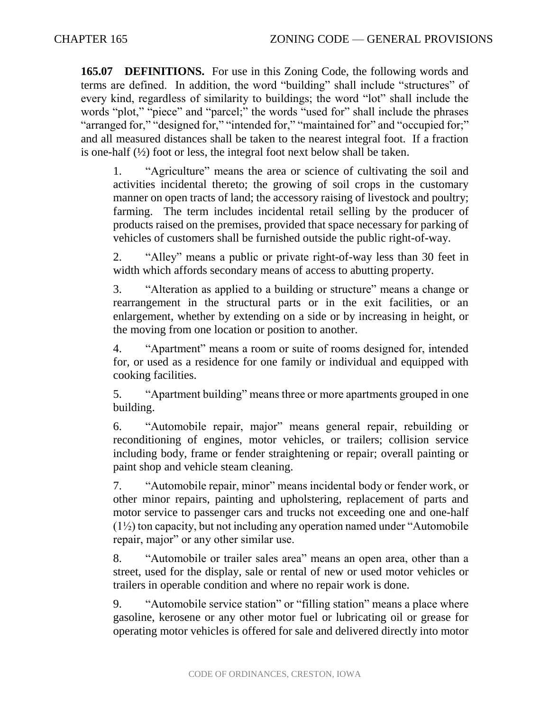**165.07 DEFINITIONS.** For use in this Zoning Code, the following words and terms are defined. In addition, the word "building" shall include "structures" of every kind, regardless of similarity to buildings; the word "lot" shall include the words "plot," "piece" and "parcel;" the words "used for" shall include the phrases "arranged for," "designed for," "intended for," "maintained for" and "occupied for," and all measured distances shall be taken to the nearest integral foot. If a fraction is one-half  $(\frac{1}{2})$  foot or less, the integral foot next below shall be taken.

1. "Agriculture" means the area or science of cultivating the soil and activities incidental thereto; the growing of soil crops in the customary manner on open tracts of land; the accessory raising of livestock and poultry; farming. The term includes incidental retail selling by the producer of products raised on the premises, provided that space necessary for parking of vehicles of customers shall be furnished outside the public right-of-way.

2. "Alley" means a public or private right-of-way less than 30 feet in width which affords secondary means of access to abutting property.

3. "Alteration as applied to a building or structure" means a change or rearrangement in the structural parts or in the exit facilities, or an enlargement, whether by extending on a side or by increasing in height, or the moving from one location or position to another.

4. "Apartment" means a room or suite of rooms designed for, intended for, or used as a residence for one family or individual and equipped with cooking facilities.

5. "Apartment building" means three or more apartments grouped in one building.

6. "Automobile repair, major" means general repair, rebuilding or reconditioning of engines, motor vehicles, or trailers; collision service including body, frame or fender straightening or repair; overall painting or paint shop and vehicle steam cleaning.

7. "Automobile repair, minor" means incidental body or fender work, or other minor repairs, painting and upholstering, replacement of parts and motor service to passenger cars and trucks not exceeding one and one-half  $(1\frac{1}{2})$  ton capacity, but not including any operation named under "Automobile" repair, major" or any other similar use.

8. "Automobile or trailer sales area" means an open area, other than a street, used for the display, sale or rental of new or used motor vehicles or trailers in operable condition and where no repair work is done.

9. "Automobile service station" or "filling station" means a place where gasoline, kerosene or any other motor fuel or lubricating oil or grease for operating motor vehicles is offered for sale and delivered directly into motor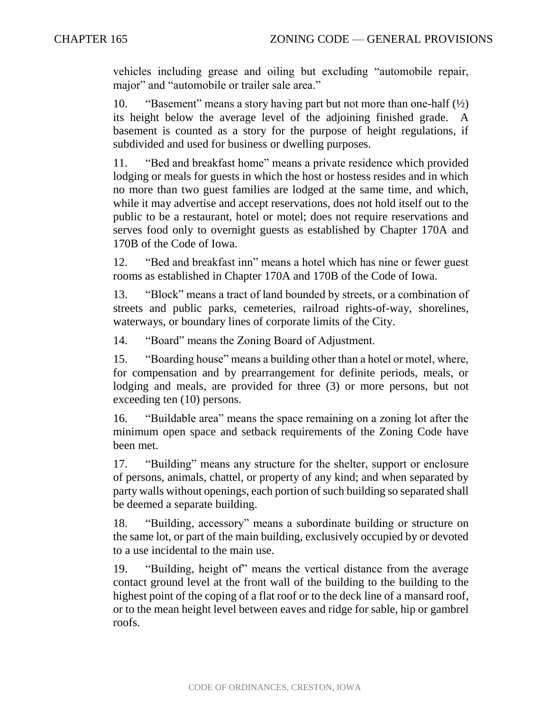vehicles including grease and oiling but excluding "automobile repair, major" and "automobile or trailer sale area."

10. "Basement" means a story having part but not more than one-half  $(\frac{1}{2})$ its height below the average level of the adjoining finished grade. A basement is counted as a story for the purpose of height regulations, if subdivided and used for business or dwelling purposes.

11. "Bed and breakfast home" means a private residence which provided lodging or meals for guests in which the host or hostess resides and in which no more than two guest families are lodged at the same time, and which, while it may advertise and accept reservations, does not hold itself out to the public to be a restaurant, hotel or motel; does not require reservations and serves food only to overnight guests as established by Chapter 170A and 170B of the Code of Iowa.

12. "Bed and breakfast inn" means a hotel which has nine or fewer guest rooms as established in Chapter 170A and 170B of the Code of Iowa.

13. "Block" means a tract of land bounded by streets, or a combination of streets and public parks, cemeteries, railroad rights-of-way, shorelines, waterways, or boundary lines of corporate limits of the City.

14. "Board" means the Zoning Board of Adjustment.

15. "Boarding house" means a building other than a hotel or motel, where, for compensation and by prearrangement for definite periods, meals, or lodging and meals, are provided for three (3) or more persons, but not exceeding ten (10) persons.

16. "Buildable area" means the space remaining on a zoning lot after the minimum open space and setback requirements of the Zoning Code have been met.

17. "Building" means any structure for the shelter, support or enclosure of persons, animals, chattel, or property of any kind; and when separated by party walls without openings, each portion of such building so separated shall be deemed a separate building.

18. "Building, accessory" means a subordinate building or structure on the same lot, or part of the main building, exclusively occupied by or devoted to a use incidental to the main use.

19. "Building, height of" means the vertical distance from the average contact ground level at the front wall of the building to the building to the highest point of the coping of a flat roof or to the deck line of a mansard roof, or to the mean height level between eaves and ridge for sable, hip or gambrel roofs.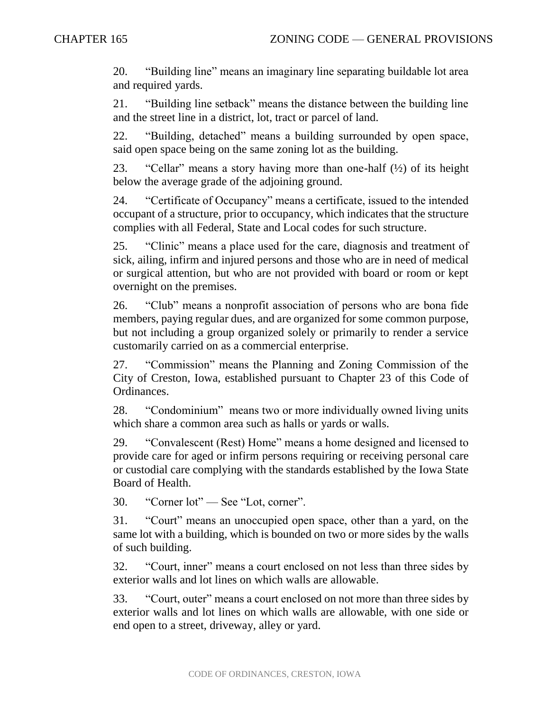20. "Building line" means an imaginary line separating buildable lot area and required yards.

21. "Building line setback" means the distance between the building line and the street line in a district, lot, tract or parcel of land.

22. "Building, detached" means a building surrounded by open space, said open space being on the same zoning lot as the building.

23. "Cellar" means a story having more than one-half  $(\frac{1}{2})$  of its height below the average grade of the adjoining ground.

24. "Certificate of Occupancy" means a certificate, issued to the intended occupant of a structure, prior to occupancy, which indicates that the structure complies with all Federal, State and Local codes for such structure.

25. "Clinic" means a place used for the care, diagnosis and treatment of sick, ailing, infirm and injured persons and those who are in need of medical or surgical attention, but who are not provided with board or room or kept overnight on the premises.

26. "Club" means a nonprofit association of persons who are bona fide members, paying regular dues, and are organized for some common purpose, but not including a group organized solely or primarily to render a service customarily carried on as a commercial enterprise.

27. "Commission" means the Planning and Zoning Commission of the City of Creston, Iowa, established pursuant to Chapter 23 of this Code of Ordinances.

28. "Condominium" means two or more individually owned living units which share a common area such as halls or yards or walls.

29. "Convalescent (Rest) Home" means a home designed and licensed to provide care for aged or infirm persons requiring or receiving personal care or custodial care complying with the standards established by the Iowa State Board of Health.

30. "Corner lot" — See "Lot, corner".

31. "Court" means an unoccupied open space, other than a yard, on the same lot with a building, which is bounded on two or more sides by the walls of such building.

32. "Court, inner" means a court enclosed on not less than three sides by exterior walls and lot lines on which walls are allowable.

33. "Court, outer" means a court enclosed on not more than three sides by exterior walls and lot lines on which walls are allowable, with one side or end open to a street, driveway, alley or yard.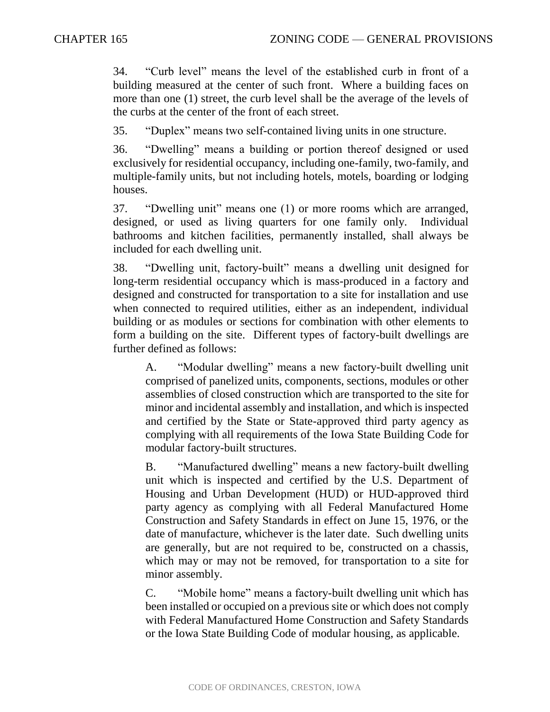34. "Curb level" means the level of the established curb in front of a building measured at the center of such front. Where a building faces on more than one (1) street, the curb level shall be the average of the levels of the curbs at the center of the front of each street.

35. "Duplex" means two self-contained living units in one structure.

36. "Dwelling" means a building or portion thereof designed or used exclusively for residential occupancy, including one-family, two-family, and multiple-family units, but not including hotels, motels, boarding or lodging houses.

37. "Dwelling unit" means one (1) or more rooms which are arranged, designed, or used as living quarters for one family only. Individual bathrooms and kitchen facilities, permanently installed, shall always be included for each dwelling unit.

38. "Dwelling unit, factory-built" means a dwelling unit designed for long-term residential occupancy which is mass-produced in a factory and designed and constructed for transportation to a site for installation and use when connected to required utilities, either as an independent, individual building or as modules or sections for combination with other elements to form a building on the site. Different types of factory-built dwellings are further defined as follows:

A. "Modular dwelling" means a new factory-built dwelling unit comprised of panelized units, components, sections, modules or other assemblies of closed construction which are transported to the site for minor and incidental assembly and installation, and which is inspected and certified by the State or State-approved third party agency as complying with all requirements of the Iowa State Building Code for modular factory-built structures.

B. "Manufactured dwelling" means a new factory-built dwelling unit which is inspected and certified by the U.S. Department of Housing and Urban Development (HUD) or HUD-approved third party agency as complying with all Federal Manufactured Home Construction and Safety Standards in effect on June 15, 1976, or the date of manufacture, whichever is the later date. Such dwelling units are generally, but are not required to be, constructed on a chassis, which may or may not be removed, for transportation to a site for minor assembly.

C. "Mobile home" means a factory-built dwelling unit which has been installed or occupied on a previous site or which does not comply with Federal Manufactured Home Construction and Safety Standards or the Iowa State Building Code of modular housing, as applicable.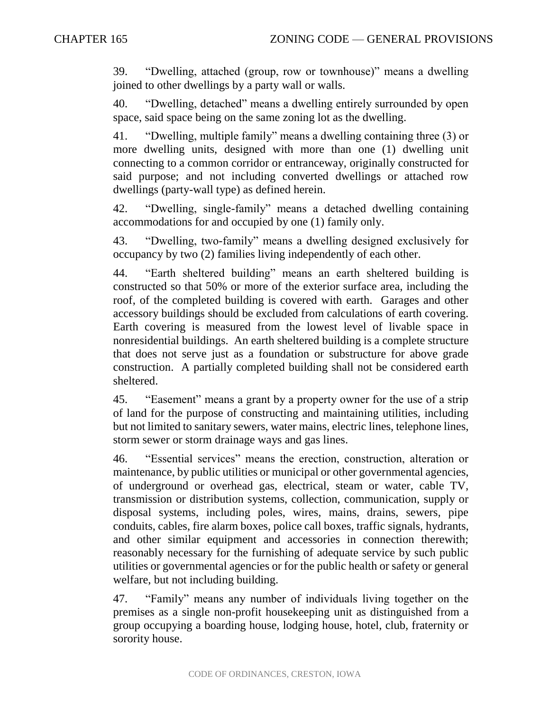39. "Dwelling, attached (group, row or townhouse)" means a dwelling joined to other dwellings by a party wall or walls.

40. "Dwelling, detached" means a dwelling entirely surrounded by open space, said space being on the same zoning lot as the dwelling.

41. "Dwelling, multiple family" means a dwelling containing three (3) or more dwelling units, designed with more than one (1) dwelling unit connecting to a common corridor or entranceway, originally constructed for said purpose; and not including converted dwellings or attached row dwellings (party-wall type) as defined herein.

42. "Dwelling, single-family" means a detached dwelling containing accommodations for and occupied by one (1) family only.

43. "Dwelling, two-family" means a dwelling designed exclusively for occupancy by two (2) families living independently of each other.

44. "Earth sheltered building" means an earth sheltered building is constructed so that 50% or more of the exterior surface area, including the roof, of the completed building is covered with earth. Garages and other accessory buildings should be excluded from calculations of earth covering. Earth covering is measured from the lowest level of livable space in nonresidential buildings. An earth sheltered building is a complete structure that does not serve just as a foundation or substructure for above grade construction. A partially completed building shall not be considered earth sheltered.

45. "Easement" means a grant by a property owner for the use of a strip of land for the purpose of constructing and maintaining utilities, including but not limited to sanitary sewers, water mains, electric lines, telephone lines, storm sewer or storm drainage ways and gas lines.

46. "Essential services" means the erection, construction, alteration or maintenance, by public utilities or municipal or other governmental agencies, of underground or overhead gas, electrical, steam or water, cable TV, transmission or distribution systems, collection, communication, supply or disposal systems, including poles, wires, mains, drains, sewers, pipe conduits, cables, fire alarm boxes, police call boxes, traffic signals, hydrants, and other similar equipment and accessories in connection therewith; reasonably necessary for the furnishing of adequate service by such public utilities or governmental agencies or for the public health or safety or general welfare, but not including building.

47. "Family" means any number of individuals living together on the premises as a single non-profit housekeeping unit as distinguished from a group occupying a boarding house, lodging house, hotel, club, fraternity or sorority house.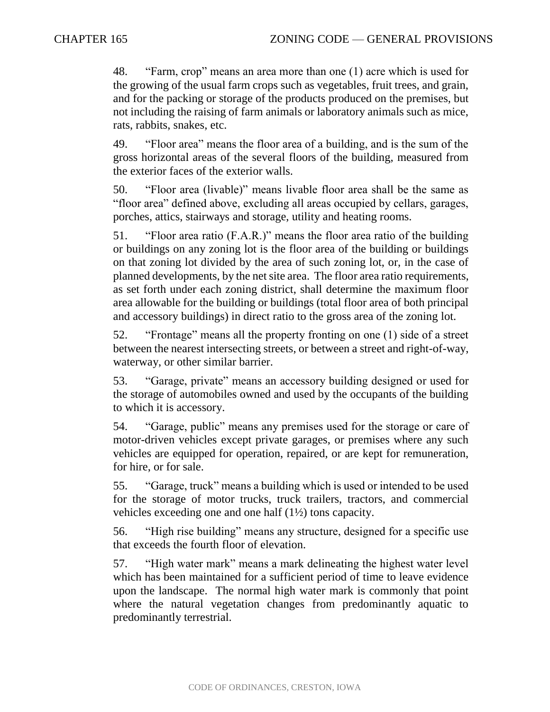48. "Farm, crop" means an area more than one (1) acre which is used for the growing of the usual farm crops such as vegetables, fruit trees, and grain, and for the packing or storage of the products produced on the premises, but not including the raising of farm animals or laboratory animals such as mice, rats, rabbits, snakes, etc.

49. "Floor area" means the floor area of a building, and is the sum of the gross horizontal areas of the several floors of the building, measured from the exterior faces of the exterior walls.

50. "Floor area (livable)" means livable floor area shall be the same as "floor area" defined above, excluding all areas occupied by cellars, garages, porches, attics, stairways and storage, utility and heating rooms.

51. "Floor area ratio (F.A.R.)" means the floor area ratio of the building or buildings on any zoning lot is the floor area of the building or buildings on that zoning lot divided by the area of such zoning lot, or, in the case of planned developments, by the net site area. The floor area ratio requirements, as set forth under each zoning district, shall determine the maximum floor area allowable for the building or buildings (total floor area of both principal and accessory buildings) in direct ratio to the gross area of the zoning lot.

52. "Frontage" means all the property fronting on one (1) side of a street between the nearest intersecting streets, or between a street and right-of-way, waterway, or other similar barrier.

53. "Garage, private" means an accessory building designed or used for the storage of automobiles owned and used by the occupants of the building to which it is accessory.

54. "Garage, public" means any premises used for the storage or care of motor-driven vehicles except private garages, or premises where any such vehicles are equipped for operation, repaired, or are kept for remuneration, for hire, or for sale.

55. "Garage, truck" means a building which is used or intended to be used for the storage of motor trucks, truck trailers, tractors, and commercial vehicles exceeding one and one half (1½) tons capacity.

56. "High rise building" means any structure, designed for a specific use that exceeds the fourth floor of elevation.

57. "High water mark" means a mark delineating the highest water level which has been maintained for a sufficient period of time to leave evidence upon the landscape. The normal high water mark is commonly that point where the natural vegetation changes from predominantly aquatic to predominantly terrestrial.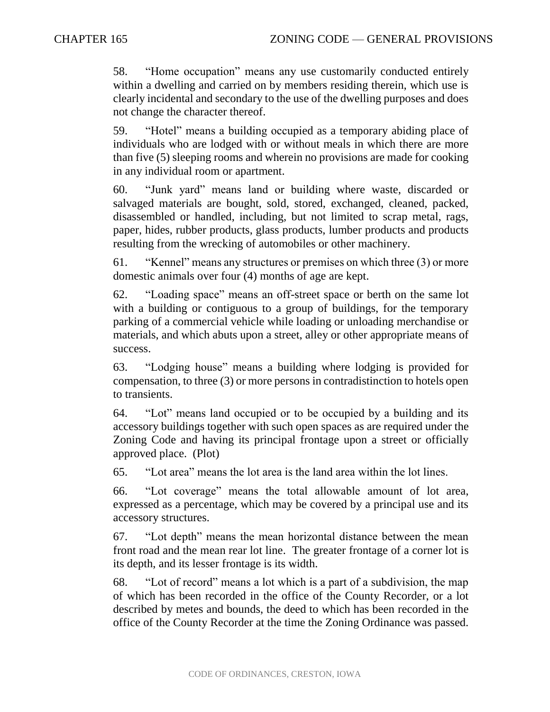58. "Home occupation" means any use customarily conducted entirely within a dwelling and carried on by members residing therein, which use is clearly incidental and secondary to the use of the dwelling purposes and does not change the character thereof.

59. "Hotel" means a building occupied as a temporary abiding place of individuals who are lodged with or without meals in which there are more than five (5) sleeping rooms and wherein no provisions are made for cooking in any individual room or apartment.

60. "Junk yard" means land or building where waste, discarded or salvaged materials are bought, sold, stored, exchanged, cleaned, packed, disassembled or handled, including, but not limited to scrap metal, rags, paper, hides, rubber products, glass products, lumber products and products resulting from the wrecking of automobiles or other machinery.

61. "Kennel" means any structures or premises on which three (3) or more domestic animals over four (4) months of age are kept.

62. "Loading space" means an off-street space or berth on the same lot with a building or contiguous to a group of buildings, for the temporary parking of a commercial vehicle while loading or unloading merchandise or materials, and which abuts upon a street, alley or other appropriate means of success.

63. "Lodging house" means a building where lodging is provided for compensation, to three (3) or more persons in contradistinction to hotels open to transients.

64. "Lot" means land occupied or to be occupied by a building and its accessory buildings together with such open spaces as are required under the Zoning Code and having its principal frontage upon a street or officially approved place. (Plot)

65. "Lot area" means the lot area is the land area within the lot lines.

66. "Lot coverage" means the total allowable amount of lot area, expressed as a percentage, which may be covered by a principal use and its accessory structures.

67. "Lot depth" means the mean horizontal distance between the mean front road and the mean rear lot line. The greater frontage of a corner lot is its depth, and its lesser frontage is its width.

68. "Lot of record" means a lot which is a part of a subdivision, the map of which has been recorded in the office of the County Recorder, or a lot described by metes and bounds, the deed to which has been recorded in the office of the County Recorder at the time the Zoning Ordinance was passed.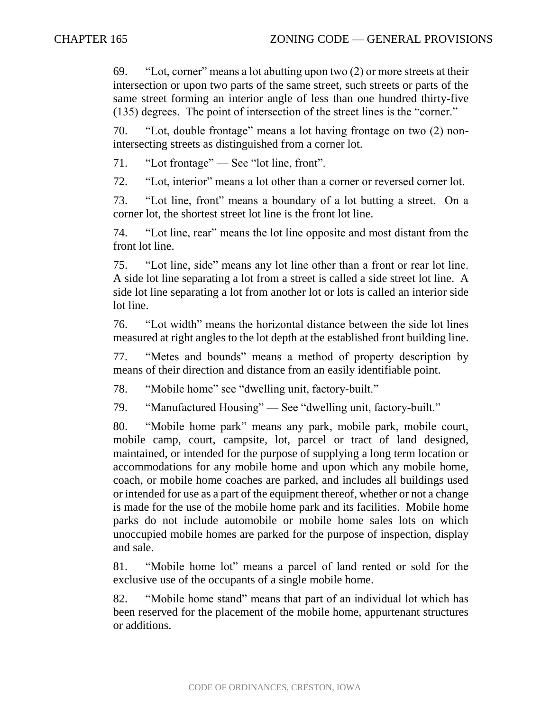69. "Lot, corner" means a lot abutting upon two (2) or more streets at their intersection or upon two parts of the same street, such streets or parts of the same street forming an interior angle of less than one hundred thirty-five (135) degrees. The point of intersection of the street lines is the "corner."

70. "Lot, double frontage" means a lot having frontage on two (2) nonintersecting streets as distinguished from a corner lot.

71. "Lot frontage" — See "lot line, front".

72. "Lot, interior" means a lot other than a corner or reversed corner lot.

73. "Lot line, front" means a boundary of a lot butting a street. On a corner lot, the shortest street lot line is the front lot line.

74. "Lot line, rear" means the lot line opposite and most distant from the front lot line.

75. "Lot line, side" means any lot line other than a front or rear lot line. A side lot line separating a lot from a street is called a side street lot line. A side lot line separating a lot from another lot or lots is called an interior side lot line.

76. "Lot width" means the horizontal distance between the side lot lines measured at right angles to the lot depth at the established front building line.

77. "Metes and bounds" means a method of property description by means of their direction and distance from an easily identifiable point.

78. "Mobile home" see "dwelling unit, factory-built."

79. "Manufactured Housing" — See "dwelling unit, factory-built."

80. "Mobile home park" means any park, mobile park, mobile court, mobile camp, court, campsite, lot, parcel or tract of land designed, maintained, or intended for the purpose of supplying a long term location or accommodations for any mobile home and upon which any mobile home, coach, or mobile home coaches are parked, and includes all buildings used or intended for use as a part of the equipment thereof, whether or not a change is made for the use of the mobile home park and its facilities. Mobile home parks do not include automobile or mobile home sales lots on which unoccupied mobile homes are parked for the purpose of inspection, display and sale.

81. "Mobile home lot" means a parcel of land rented or sold for the exclusive use of the occupants of a single mobile home.

82. "Mobile home stand" means that part of an individual lot which has been reserved for the placement of the mobile home, appurtenant structures or additions.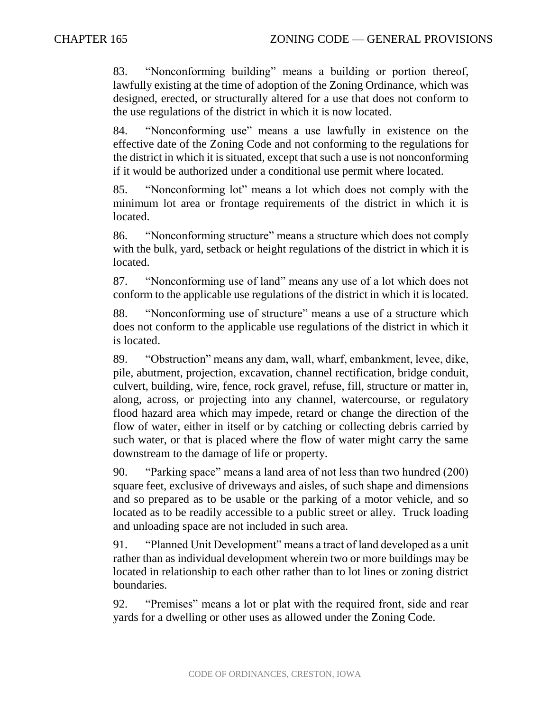83. "Nonconforming building" means a building or portion thereof, lawfully existing at the time of adoption of the Zoning Ordinance, which was designed, erected, or structurally altered for a use that does not conform to the use regulations of the district in which it is now located.

84. "Nonconforming use" means a use lawfully in existence on the effective date of the Zoning Code and not conforming to the regulations for the district in which it is situated, except that such a use is not nonconforming if it would be authorized under a conditional use permit where located.

85. "Nonconforming lot" means a lot which does not comply with the minimum lot area or frontage requirements of the district in which it is located.

86. "Nonconforming structure" means a structure which does not comply with the bulk, yard, setback or height regulations of the district in which it is located.

87. "Nonconforming use of land" means any use of a lot which does not conform to the applicable use regulations of the district in which it is located.

88. "Nonconforming use of structure" means a use of a structure which does not conform to the applicable use regulations of the district in which it is located.

89. "Obstruction" means any dam, wall, wharf, embankment, levee, dike, pile, abutment, projection, excavation, channel rectification, bridge conduit, culvert, building, wire, fence, rock gravel, refuse, fill, structure or matter in, along, across, or projecting into any channel, watercourse, or regulatory flood hazard area which may impede, retard or change the direction of the flow of water, either in itself or by catching or collecting debris carried by such water, or that is placed where the flow of water might carry the same downstream to the damage of life or property.

90. "Parking space" means a land area of not less than two hundred (200) square feet, exclusive of driveways and aisles, of such shape and dimensions and so prepared as to be usable or the parking of a motor vehicle, and so located as to be readily accessible to a public street or alley. Truck loading and unloading space are not included in such area.

91. "Planned Unit Development" means a tract of land developed as a unit rather than as individual development wherein two or more buildings may be located in relationship to each other rather than to lot lines or zoning district boundaries.

92. "Premises" means a lot or plat with the required front, side and rear yards for a dwelling or other uses as allowed under the Zoning Code.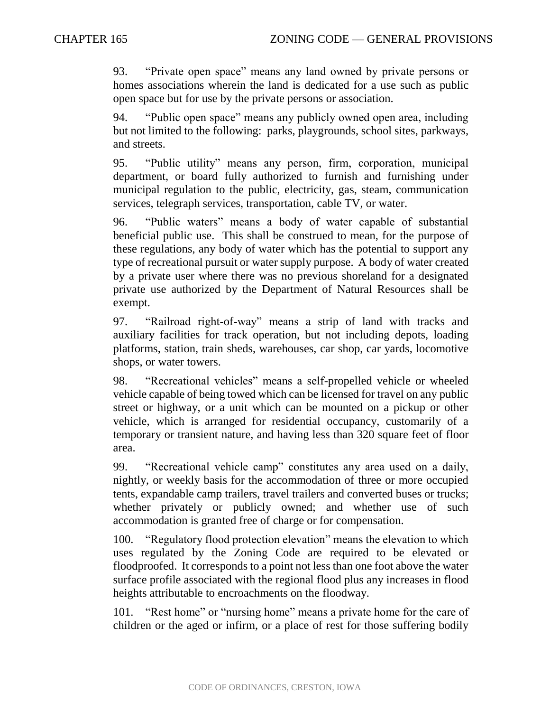93. "Private open space" means any land owned by private persons or homes associations wherein the land is dedicated for a use such as public open space but for use by the private persons or association.

94. "Public open space" means any publicly owned open area, including but not limited to the following: parks, playgrounds, school sites, parkways, and streets.

95. "Public utility" means any person, firm, corporation, municipal department, or board fully authorized to furnish and furnishing under municipal regulation to the public, electricity, gas, steam, communication services, telegraph services, transportation, cable TV, or water.

96. "Public waters" means a body of water capable of substantial beneficial public use. This shall be construed to mean, for the purpose of these regulations, any body of water which has the potential to support any type of recreational pursuit or water supply purpose. A body of water created by a private user where there was no previous shoreland for a designated private use authorized by the Department of Natural Resources shall be exempt.

97. "Railroad right-of-way" means a strip of land with tracks and auxiliary facilities for track operation, but not including depots, loading platforms, station, train sheds, warehouses, car shop, car yards, locomotive shops, or water towers.

98. "Recreational vehicles" means a self-propelled vehicle or wheeled vehicle capable of being towed which can be licensed for travel on any public street or highway, or a unit which can be mounted on a pickup or other vehicle, which is arranged for residential occupancy, customarily of a temporary or transient nature, and having less than 320 square feet of floor area.

99. "Recreational vehicle camp" constitutes any area used on a daily, nightly, or weekly basis for the accommodation of three or more occupied tents, expandable camp trailers, travel trailers and converted buses or trucks; whether privately or publicly owned; and whether use of such accommodation is granted free of charge or for compensation.

100. "Regulatory flood protection elevation" means the elevation to which uses regulated by the Zoning Code are required to be elevated or floodproofed. It corresponds to a point not less than one foot above the water surface profile associated with the regional flood plus any increases in flood heights attributable to encroachments on the floodway.

101. "Rest home" or "nursing home" means a private home for the care of children or the aged or infirm, or a place of rest for those suffering bodily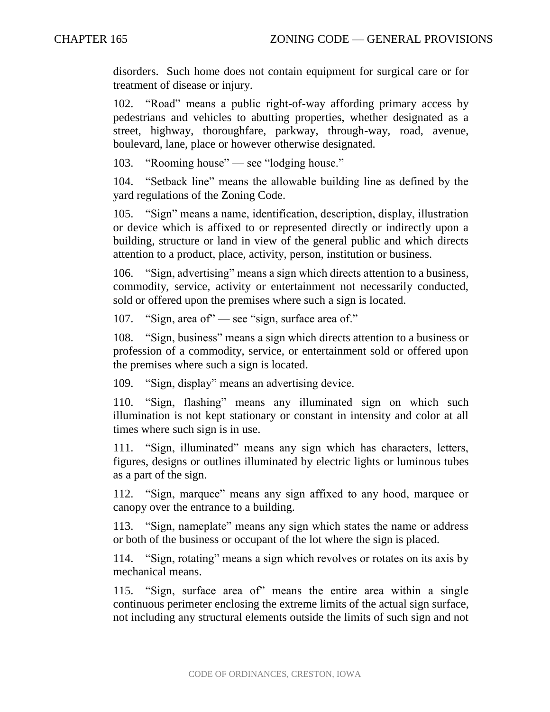disorders. Such home does not contain equipment for surgical care or for treatment of disease or injury.

102. "Road" means a public right-of-way affording primary access by pedestrians and vehicles to abutting properties, whether designated as a street, highway, thoroughfare, parkway, through-way, road, avenue, boulevard, lane, place or however otherwise designated.

103. "Rooming house" — see "lodging house."

104. "Setback line" means the allowable building line as defined by the yard regulations of the Zoning Code.

105. "Sign" means a name, identification, description, display, illustration or device which is affixed to or represented directly or indirectly upon a building, structure or land in view of the general public and which directs attention to a product, place, activity, person, institution or business.

106. "Sign, advertising" means a sign which directs attention to a business, commodity, service, activity or entertainment not necessarily conducted, sold or offered upon the premises where such a sign is located.

107. "Sign, area of" — see "sign, surface area of."

108. "Sign, business" means a sign which directs attention to a business or profession of a commodity, service, or entertainment sold or offered upon the premises where such a sign is located.

109. "Sign, display" means an advertising device.

110. "Sign, flashing" means any illuminated sign on which such illumination is not kept stationary or constant in intensity and color at all times where such sign is in use.

111. "Sign, illuminated" means any sign which has characters, letters, figures, designs or outlines illuminated by electric lights or luminous tubes as a part of the sign.

112. "Sign, marquee" means any sign affixed to any hood, marquee or canopy over the entrance to a building.

113. "Sign, nameplate" means any sign which states the name or address or both of the business or occupant of the lot where the sign is placed.

114. "Sign, rotating" means a sign which revolves or rotates on its axis by mechanical means.

115. "Sign, surface area of" means the entire area within a single continuous perimeter enclosing the extreme limits of the actual sign surface, not including any structural elements outside the limits of such sign and not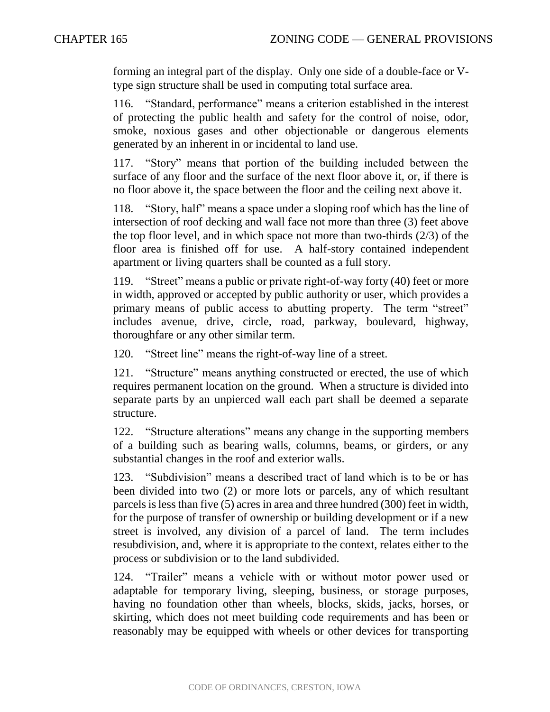forming an integral part of the display. Only one side of a double-face or Vtype sign structure shall be used in computing total surface area.

116. "Standard, performance" means a criterion established in the interest of protecting the public health and safety for the control of noise, odor, smoke, noxious gases and other objectionable or dangerous elements generated by an inherent in or incidental to land use.

117. "Story" means that portion of the building included between the surface of any floor and the surface of the next floor above it, or, if there is no floor above it, the space between the floor and the ceiling next above it.

118. "Story, half" means a space under a sloping roof which has the line of intersection of roof decking and wall face not more than three (3) feet above the top floor level, and in which space not more than two-thirds (2/3) of the floor area is finished off for use. A half-story contained independent apartment or living quarters shall be counted as a full story.

119. "Street" means a public or private right-of-way forty (40) feet or more in width, approved or accepted by public authority or user, which provides a primary means of public access to abutting property. The term "street" includes avenue, drive, circle, road, parkway, boulevard, highway, thoroughfare or any other similar term.

120. "Street line" means the right-of-way line of a street.

121. "Structure" means anything constructed or erected, the use of which requires permanent location on the ground. When a structure is divided into separate parts by an unpierced wall each part shall be deemed a separate structure.

122. "Structure alterations" means any change in the supporting members of a building such as bearing walls, columns, beams, or girders, or any substantial changes in the roof and exterior walls.

123. "Subdivision" means a described tract of land which is to be or has been divided into two (2) or more lots or parcels, any of which resultant parcels is less than five (5) acres in area and three hundred (300) feet in width, for the purpose of transfer of ownership or building development or if a new street is involved, any division of a parcel of land. The term includes resubdivision, and, where it is appropriate to the context, relates either to the process or subdivision or to the land subdivided.

124. "Trailer" means a vehicle with or without motor power used or adaptable for temporary living, sleeping, business, or storage purposes, having no foundation other than wheels, blocks, skids, jacks, horses, or skirting, which does not meet building code requirements and has been or reasonably may be equipped with wheels or other devices for transporting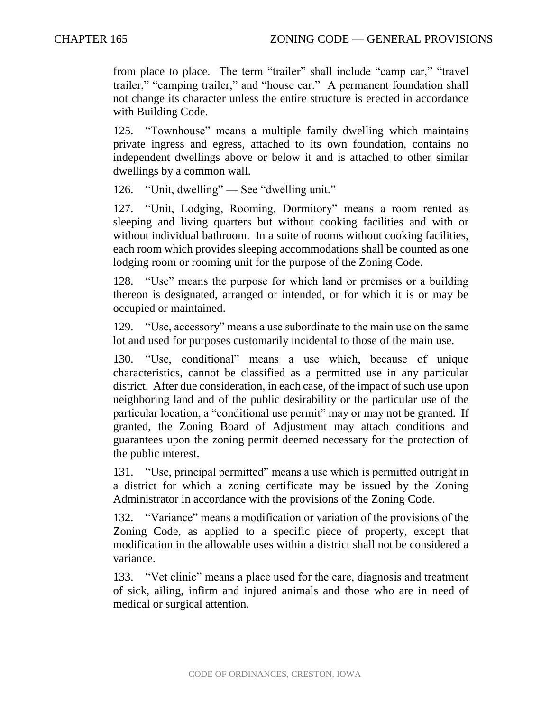from place to place. The term "trailer" shall include "camp car," "travel trailer," "camping trailer," and "house car." A permanent foundation shall not change its character unless the entire structure is erected in accordance with Building Code.

125. "Townhouse" means a multiple family dwelling which maintains private ingress and egress, attached to its own foundation, contains no independent dwellings above or below it and is attached to other similar dwellings by a common wall.

126. "Unit, dwelling" — See "dwelling unit."

127. "Unit, Lodging, Rooming, Dormitory" means a room rented as sleeping and living quarters but without cooking facilities and with or without individual bathroom. In a suite of rooms without cooking facilities, each room which provides sleeping accommodations shall be counted as one lodging room or rooming unit for the purpose of the Zoning Code.

128. "Use" means the purpose for which land or premises or a building thereon is designated, arranged or intended, or for which it is or may be occupied or maintained.

129. "Use, accessory" means a use subordinate to the main use on the same lot and used for purposes customarily incidental to those of the main use.

130. "Use, conditional" means a use which, because of unique characteristics, cannot be classified as a permitted use in any particular district. After due consideration, in each case, of the impact of such use upon neighboring land and of the public desirability or the particular use of the particular location, a "conditional use permit" may or may not be granted. If granted, the Zoning Board of Adjustment may attach conditions and guarantees upon the zoning permit deemed necessary for the protection of the public interest.

131. "Use, principal permitted" means a use which is permitted outright in a district for which a zoning certificate may be issued by the Zoning Administrator in accordance with the provisions of the Zoning Code.

132. "Variance" means a modification or variation of the provisions of the Zoning Code, as applied to a specific piece of property, except that modification in the allowable uses within a district shall not be considered a variance.

133. "Vet clinic" means a place used for the care, diagnosis and treatment of sick, ailing, infirm and injured animals and those who are in need of medical or surgical attention.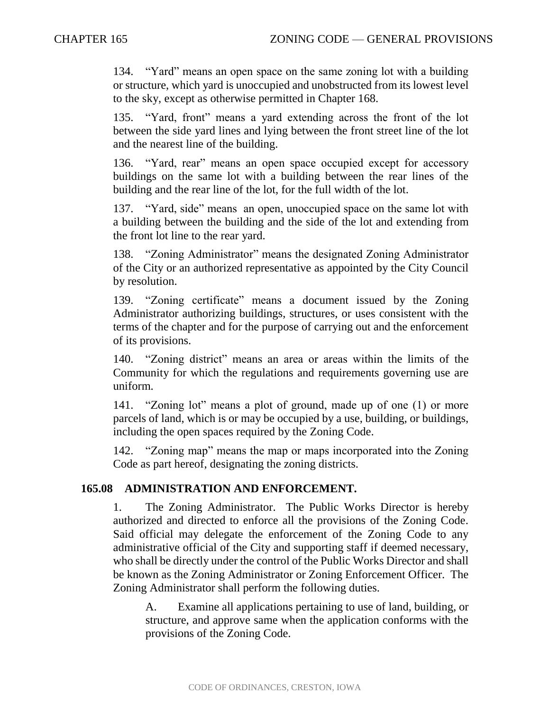134. "Yard" means an open space on the same zoning lot with a building or structure, which yard is unoccupied and unobstructed from its lowest level to the sky, except as otherwise permitted in Chapter 168.

135. "Yard, front" means a yard extending across the front of the lot between the side yard lines and lying between the front street line of the lot and the nearest line of the building.

136. "Yard, rear" means an open space occupied except for accessory buildings on the same lot with a building between the rear lines of the building and the rear line of the lot, for the full width of the lot.

137. "Yard, side" means an open, unoccupied space on the same lot with a building between the building and the side of the lot and extending from the front lot line to the rear yard.

138. "Zoning Administrator" means the designated Zoning Administrator of the City or an authorized representative as appointed by the City Council by resolution.

139. "Zoning certificate" means a document issued by the Zoning Administrator authorizing buildings, structures, or uses consistent with the terms of the chapter and for the purpose of carrying out and the enforcement of its provisions.

140. "Zoning district" means an area or areas within the limits of the Community for which the regulations and requirements governing use are uniform.

141. "Zoning lot" means a plot of ground, made up of one (1) or more parcels of land, which is or may be occupied by a use, building, or buildings, including the open spaces required by the Zoning Code.

142. "Zoning map" means the map or maps incorporated into the Zoning Code as part hereof, designating the zoning districts.

## **165.08 ADMINISTRATION AND ENFORCEMENT.**

1. The Zoning Administrator. The Public Works Director is hereby authorized and directed to enforce all the provisions of the Zoning Code. Said official may delegate the enforcement of the Zoning Code to any administrative official of the City and supporting staff if deemed necessary, who shall be directly under the control of the Public Works Director and shall be known as the Zoning Administrator or Zoning Enforcement Officer. The Zoning Administrator shall perform the following duties.

A. Examine all applications pertaining to use of land, building, or structure, and approve same when the application conforms with the provisions of the Zoning Code.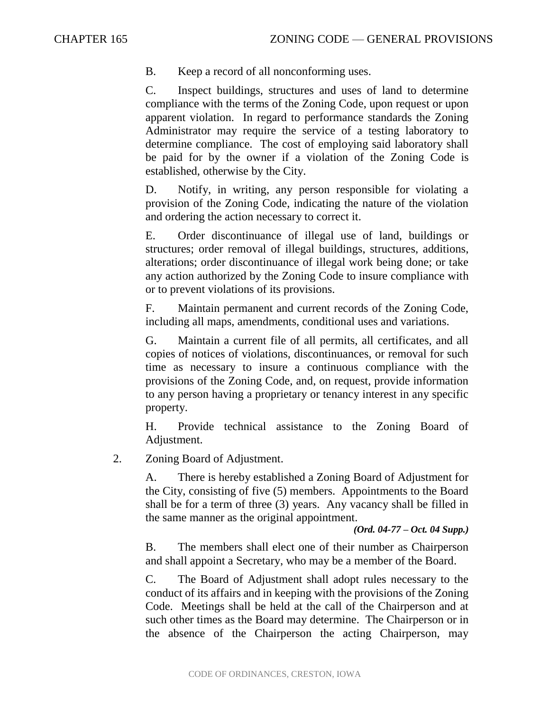B. Keep a record of all nonconforming uses.

C. Inspect buildings, structures and uses of land to determine compliance with the terms of the Zoning Code, upon request or upon apparent violation. In regard to performance standards the Zoning Administrator may require the service of a testing laboratory to determine compliance. The cost of employing said laboratory shall be paid for by the owner if a violation of the Zoning Code is established, otherwise by the City.

D. Notify, in writing, any person responsible for violating a provision of the Zoning Code, indicating the nature of the violation and ordering the action necessary to correct it.

E. Order discontinuance of illegal use of land, buildings or structures; order removal of illegal buildings, structures, additions, alterations; order discontinuance of illegal work being done; or take any action authorized by the Zoning Code to insure compliance with or to prevent violations of its provisions.

F. Maintain permanent and current records of the Zoning Code, including all maps, amendments, conditional uses and variations.

G. Maintain a current file of all permits, all certificates, and all copies of notices of violations, discontinuances, or removal for such time as necessary to insure a continuous compliance with the provisions of the Zoning Code, and, on request, provide information to any person having a proprietary or tenancy interest in any specific property.

H. Provide technical assistance to the Zoning Board of Adjustment.

2. Zoning Board of Adjustment.

A. There is hereby established a Zoning Board of Adjustment for the City, consisting of five (5) members. Appointments to the Board shall be for a term of three (3) years. Any vacancy shall be filled in the same manner as the original appointment.

*(Ord. 04-77 – Oct. 04 Supp.)*

B. The members shall elect one of their number as Chairperson and shall appoint a Secretary, who may be a member of the Board.

C. The Board of Adjustment shall adopt rules necessary to the conduct of its affairs and in keeping with the provisions of the Zoning Code. Meetings shall be held at the call of the Chairperson and at such other times as the Board may determine. The Chairperson or in the absence of the Chairperson the acting Chairperson, may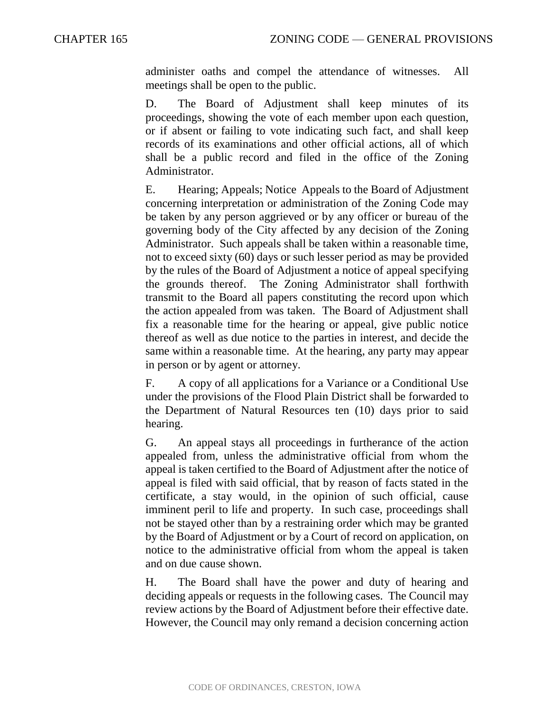administer oaths and compel the attendance of witnesses. All meetings shall be open to the public.

D. The Board of Adjustment shall keep minutes of its proceedings, showing the vote of each member upon each question, or if absent or failing to vote indicating such fact, and shall keep records of its examinations and other official actions, all of which shall be a public record and filed in the office of the Zoning Administrator.

E. Hearing; Appeals; Notice Appeals to the Board of Adjustment concerning interpretation or administration of the Zoning Code may be taken by any person aggrieved or by any officer or bureau of the governing body of the City affected by any decision of the Zoning Administrator. Such appeals shall be taken within a reasonable time, not to exceed sixty (60) days or such lesser period as may be provided by the rules of the Board of Adjustment a notice of appeal specifying the grounds thereof. The Zoning Administrator shall forthwith transmit to the Board all papers constituting the record upon which the action appealed from was taken. The Board of Adjustment shall fix a reasonable time for the hearing or appeal, give public notice thereof as well as due notice to the parties in interest, and decide the same within a reasonable time. At the hearing, any party may appear in person or by agent or attorney.

F. A copy of all applications for a Variance or a Conditional Use under the provisions of the Flood Plain District shall be forwarded to the Department of Natural Resources ten (10) days prior to said hearing.

G. An appeal stays all proceedings in furtherance of the action appealed from, unless the administrative official from whom the appeal is taken certified to the Board of Adjustment after the notice of appeal is filed with said official, that by reason of facts stated in the certificate, a stay would, in the opinion of such official, cause imminent peril to life and property. In such case, proceedings shall not be stayed other than by a restraining order which may be granted by the Board of Adjustment or by a Court of record on application, on notice to the administrative official from whom the appeal is taken and on due cause shown.

H. The Board shall have the power and duty of hearing and deciding appeals or requests in the following cases. The Council may review actions by the Board of Adjustment before their effective date. However, the Council may only remand a decision concerning action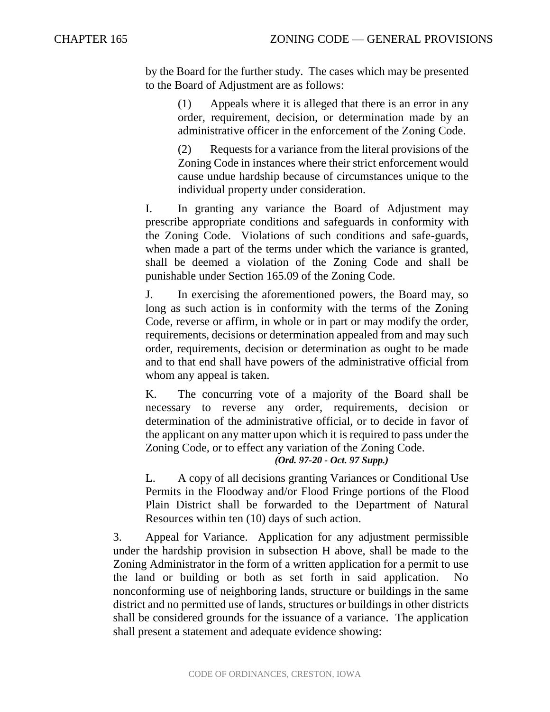by the Board for the further study. The cases which may be presented to the Board of Adjustment are as follows:

> (1) Appeals where it is alleged that there is an error in any order, requirement, decision, or determination made by an administrative officer in the enforcement of the Zoning Code.

> (2) Requests for a variance from the literal provisions of the Zoning Code in instances where their strict enforcement would cause undue hardship because of circumstances unique to the individual property under consideration.

I. In granting any variance the Board of Adjustment may prescribe appropriate conditions and safeguards in conformity with the Zoning Code. Violations of such conditions and safe-guards, when made a part of the terms under which the variance is granted, shall be deemed a violation of the Zoning Code and shall be punishable under Section 165.09 of the Zoning Code.

J. In exercising the aforementioned powers, the Board may, so long as such action is in conformity with the terms of the Zoning Code, reverse or affirm, in whole or in part or may modify the order, requirements, decisions or determination appealed from and may such order, requirements, decision or determination as ought to be made and to that end shall have powers of the administrative official from whom any appeal is taken.

K. The concurring vote of a majority of the Board shall be necessary to reverse any order, requirements, decision or determination of the administrative official, or to decide in favor of the applicant on any matter upon which it is required to pass under the Zoning Code, or to effect any variation of the Zoning Code.

### *(Ord. 97-20 - Oct. 97 Supp.)*

L. A copy of all decisions granting Variances or Conditional Use Permits in the Floodway and/or Flood Fringe portions of the Flood Plain District shall be forwarded to the Department of Natural Resources within ten (10) days of such action.

3. Appeal for Variance. Application for any adjustment permissible under the hardship provision in subsection H above, shall be made to the Zoning Administrator in the form of a written application for a permit to use the land or building or both as set forth in said application. No nonconforming use of neighboring lands, structure or buildings in the same district and no permitted use of lands, structures or buildings in other districts shall be considered grounds for the issuance of a variance. The application shall present a statement and adequate evidence showing: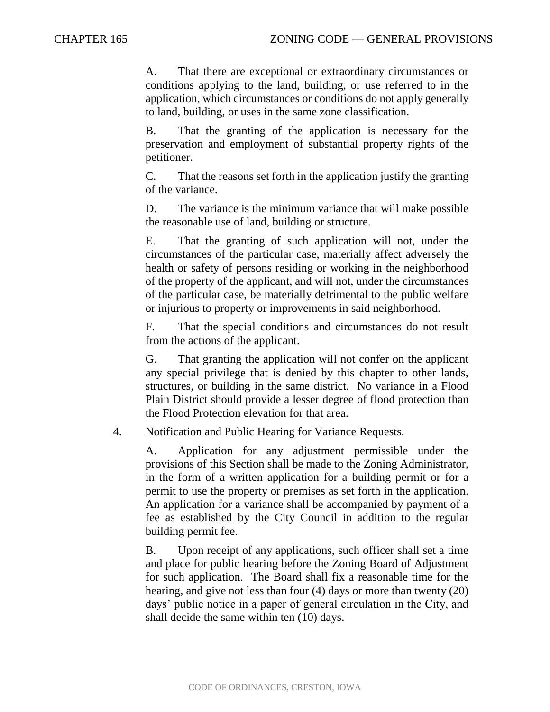A. That there are exceptional or extraordinary circumstances or conditions applying to the land, building, or use referred to in the application, which circumstances or conditions do not apply generally to land, building, or uses in the same zone classification.

B. That the granting of the application is necessary for the preservation and employment of substantial property rights of the petitioner.

C. That the reasons set forth in the application justify the granting of the variance.

D. The variance is the minimum variance that will make possible the reasonable use of land, building or structure.

E. That the granting of such application will not, under the circumstances of the particular case, materially affect adversely the health or safety of persons residing or working in the neighborhood of the property of the applicant, and will not, under the circumstances of the particular case, be materially detrimental to the public welfare or injurious to property or improvements in said neighborhood.

F. That the special conditions and circumstances do not result from the actions of the applicant.

G. That granting the application will not confer on the applicant any special privilege that is denied by this chapter to other lands, structures, or building in the same district. No variance in a Flood Plain District should provide a lesser degree of flood protection than the Flood Protection elevation for that area.

4. Notification and Public Hearing for Variance Requests.

A. Application for any adjustment permissible under the provisions of this Section shall be made to the Zoning Administrator, in the form of a written application for a building permit or for a permit to use the property or premises as set forth in the application. An application for a variance shall be accompanied by payment of a fee as established by the City Council in addition to the regular building permit fee.

B. Upon receipt of any applications, such officer shall set a time and place for public hearing before the Zoning Board of Adjustment for such application. The Board shall fix a reasonable time for the hearing, and give not less than four (4) days or more than twenty (20) days' public notice in a paper of general circulation in the City, and shall decide the same within ten (10) days.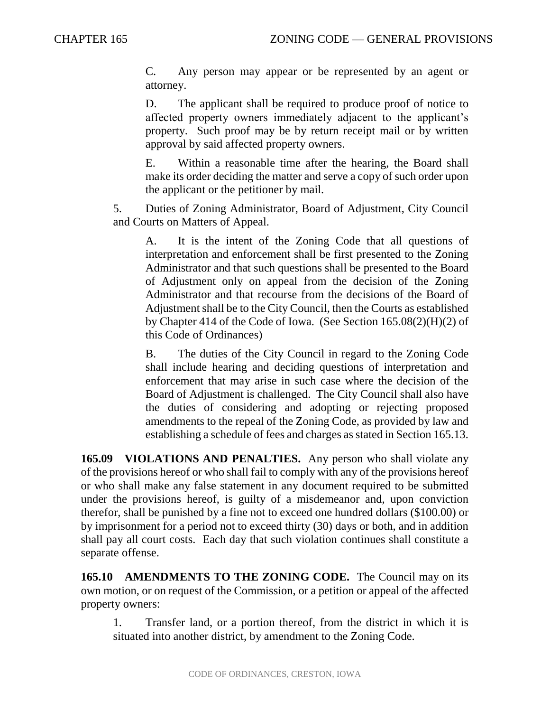C. Any person may appear or be represented by an agent or attorney.

D. The applicant shall be required to produce proof of notice to affected property owners immediately adjacent to the applicant's property. Such proof may be by return receipt mail or by written approval by said affected property owners.

E. Within a reasonable time after the hearing, the Board shall make its order deciding the matter and serve a copy of such order upon the applicant or the petitioner by mail.

5. Duties of Zoning Administrator, Board of Adjustment, City Council and Courts on Matters of Appeal.

A. It is the intent of the Zoning Code that all questions of interpretation and enforcement shall be first presented to the Zoning Administrator and that such questions shall be presented to the Board of Adjustment only on appeal from the decision of the Zoning Administrator and that recourse from the decisions of the Board of Adjustment shall be to the City Council, then the Courts as established by Chapter 414 of the Code of Iowa. (See Section 165.08(2)(H)(2) of this Code of Ordinances)

B. The duties of the City Council in regard to the Zoning Code shall include hearing and deciding questions of interpretation and enforcement that may arise in such case where the decision of the Board of Adjustment is challenged. The City Council shall also have the duties of considering and adopting or rejecting proposed amendments to the repeal of the Zoning Code, as provided by law and establishing a schedule of fees and charges as stated in Section 165.13.

**165.09 VIOLATIONS AND PENALTIES.** Any person who shall violate any of the provisions hereof or who shall fail to comply with any of the provisions hereof or who shall make any false statement in any document required to be submitted under the provisions hereof, is guilty of a misdemeanor and, upon conviction therefor, shall be punished by a fine not to exceed one hundred dollars (\$100.00) or by imprisonment for a period not to exceed thirty (30) days or both, and in addition shall pay all court costs. Each day that such violation continues shall constitute a separate offense.

165.10 AMENDMENTS TO THE ZONING CODE. The Council may on its own motion, or on request of the Commission, or a petition or appeal of the affected property owners:

1. Transfer land, or a portion thereof, from the district in which it is situated into another district, by amendment to the Zoning Code.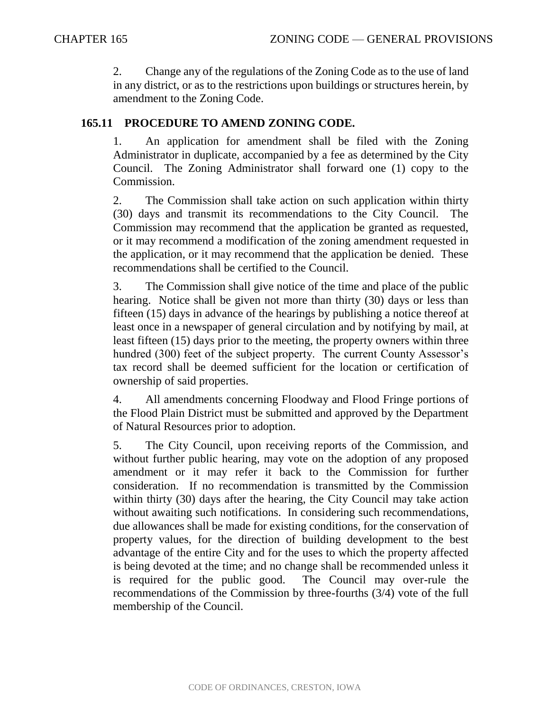2. Change any of the regulations of the Zoning Code as to the use of land in any district, or as to the restrictions upon buildings or structures herein, by amendment to the Zoning Code.

## **165.11 PROCEDURE TO AMEND ZONING CODE.**

1. An application for amendment shall be filed with the Zoning Administrator in duplicate, accompanied by a fee as determined by the City Council. The Zoning Administrator shall forward one (1) copy to the Commission.

2. The Commission shall take action on such application within thirty (30) days and transmit its recommendations to the City Council. The Commission may recommend that the application be granted as requested, or it may recommend a modification of the zoning amendment requested in the application, or it may recommend that the application be denied. These recommendations shall be certified to the Council.

3. The Commission shall give notice of the time and place of the public hearing. Notice shall be given not more than thirty (30) days or less than fifteen (15) days in advance of the hearings by publishing a notice thereof at least once in a newspaper of general circulation and by notifying by mail, at least fifteen (15) days prior to the meeting, the property owners within three hundred (300) feet of the subject property. The current County Assessor's tax record shall be deemed sufficient for the location or certification of ownership of said properties.

4. All amendments concerning Floodway and Flood Fringe portions of the Flood Plain District must be submitted and approved by the Department of Natural Resources prior to adoption.

5. The City Council, upon receiving reports of the Commission, and without further public hearing, may vote on the adoption of any proposed amendment or it may refer it back to the Commission for further consideration. If no recommendation is transmitted by the Commission within thirty (30) days after the hearing, the City Council may take action without awaiting such notifications. In considering such recommendations, due allowances shall be made for existing conditions, for the conservation of property values, for the direction of building development to the best advantage of the entire City and for the uses to which the property affected is being devoted at the time; and no change shall be recommended unless it is required for the public good. The Council may over-rule the recommendations of the Commission by three-fourths (3/4) vote of the full membership of the Council.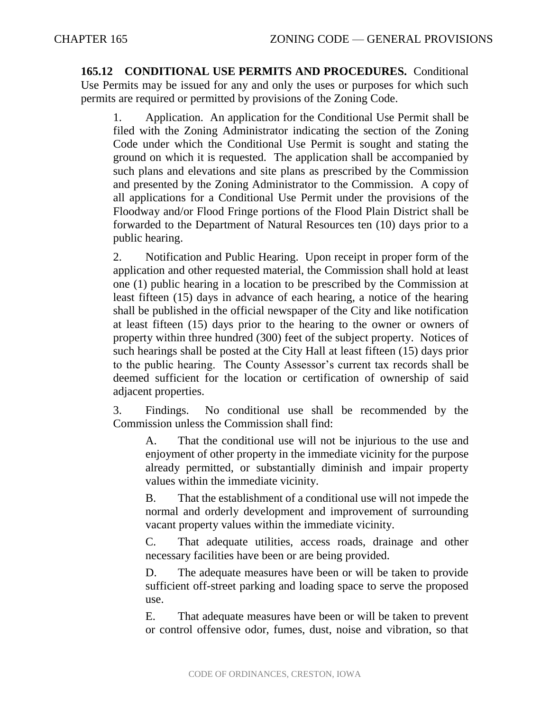**165.12 CONDITIONAL USE PERMITS AND PROCEDURES.** Conditional Use Permits may be issued for any and only the uses or purposes for which such permits are required or permitted by provisions of the Zoning Code.

1. Application. An application for the Conditional Use Permit shall be filed with the Zoning Administrator indicating the section of the Zoning Code under which the Conditional Use Permit is sought and stating the ground on which it is requested. The application shall be accompanied by such plans and elevations and site plans as prescribed by the Commission and presented by the Zoning Administrator to the Commission. A copy of all applications for a Conditional Use Permit under the provisions of the Floodway and/or Flood Fringe portions of the Flood Plain District shall be forwarded to the Department of Natural Resources ten (10) days prior to a public hearing.

2. Notification and Public Hearing. Upon receipt in proper form of the application and other requested material, the Commission shall hold at least one (1) public hearing in a location to be prescribed by the Commission at least fifteen (15) days in advance of each hearing, a notice of the hearing shall be published in the official newspaper of the City and like notification at least fifteen (15) days prior to the hearing to the owner or owners of property within three hundred (300) feet of the subject property. Notices of such hearings shall be posted at the City Hall at least fifteen (15) days prior to the public hearing. The County Assessor's current tax records shall be deemed sufficient for the location or certification of ownership of said adjacent properties.

3. Findings. No conditional use shall be recommended by the Commission unless the Commission shall find:

A. That the conditional use will not be injurious to the use and enjoyment of other property in the immediate vicinity for the purpose already permitted, or substantially diminish and impair property values within the immediate vicinity.

B. That the establishment of a conditional use will not impede the normal and orderly development and improvement of surrounding vacant property values within the immediate vicinity.

C. That adequate utilities, access roads, drainage and other necessary facilities have been or are being provided.

D. The adequate measures have been or will be taken to provide sufficient off-street parking and loading space to serve the proposed use.

E. That adequate measures have been or will be taken to prevent or control offensive odor, fumes, dust, noise and vibration, so that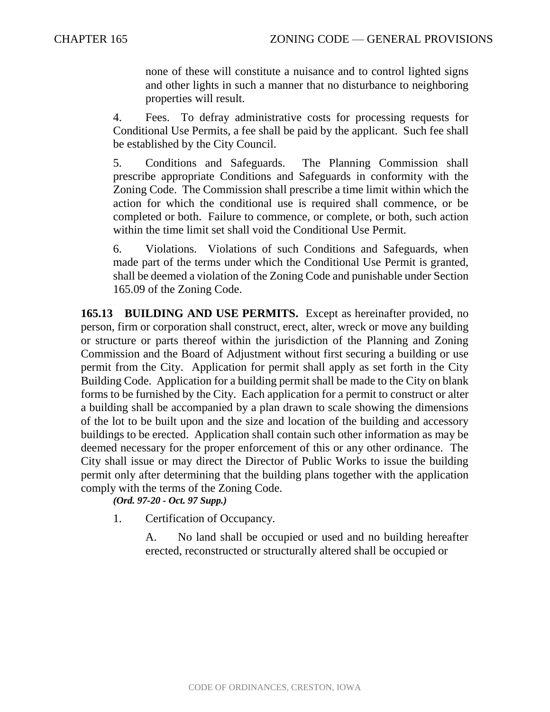none of these will constitute a nuisance and to control lighted signs and other lights in such a manner that no disturbance to neighboring properties will result.

4. Fees. To defray administrative costs for processing requests for Conditional Use Permits, a fee shall be paid by the applicant. Such fee shall be established by the City Council.

5. Conditions and Safeguards. The Planning Commission shall prescribe appropriate Conditions and Safeguards in conformity with the Zoning Code. The Commission shall prescribe a time limit within which the action for which the conditional use is required shall commence, or be completed or both. Failure to commence, or complete, or both, such action within the time limit set shall void the Conditional Use Permit.

6. Violations. Violations of such Conditions and Safeguards, when made part of the terms under which the Conditional Use Permit is granted, shall be deemed a violation of the Zoning Code and punishable under Section 165.09 of the Zoning Code.

**165.13 BUILDING AND USE PERMITS.** Except as hereinafter provided, no person, firm or corporation shall construct, erect, alter, wreck or move any building or structure or parts thereof within the jurisdiction of the Planning and Zoning Commission and the Board of Adjustment without first securing a building or use permit from the City. Application for permit shall apply as set forth in the City Building Code. Application for a building permit shall be made to the City on blank forms to be furnished by the City. Each application for a permit to construct or alter a building shall be accompanied by a plan drawn to scale showing the dimensions of the lot to be built upon and the size and location of the building and accessory buildings to be erected. Application shall contain such other information as may be deemed necessary for the proper enforcement of this or any other ordinance. The City shall issue or may direct the Director of Public Works to issue the building permit only after determining that the building plans together with the application comply with the terms of the Zoning Code.

*(Ord. 97-20 - Oct. 97 Supp.)*

1. Certification of Occupancy.

A. No land shall be occupied or used and no building hereafter erected, reconstructed or structurally altered shall be occupied or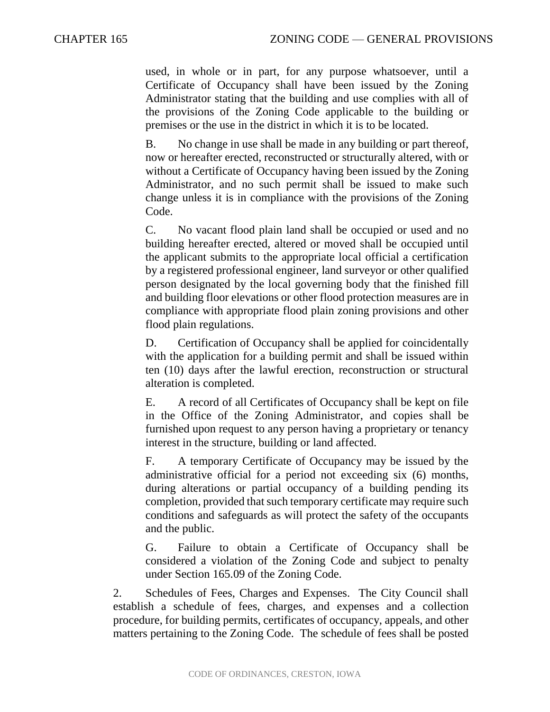used, in whole or in part, for any purpose whatsoever, until a Certificate of Occupancy shall have been issued by the Zoning Administrator stating that the building and use complies with all of the provisions of the Zoning Code applicable to the building or premises or the use in the district in which it is to be located.

B. No change in use shall be made in any building or part thereof, now or hereafter erected, reconstructed or structurally altered, with or without a Certificate of Occupancy having been issued by the Zoning Administrator, and no such permit shall be issued to make such change unless it is in compliance with the provisions of the Zoning Code.

C. No vacant flood plain land shall be occupied or used and no building hereafter erected, altered or moved shall be occupied until the applicant submits to the appropriate local official a certification by a registered professional engineer, land surveyor or other qualified person designated by the local governing body that the finished fill and building floor elevations or other flood protection measures are in compliance with appropriate flood plain zoning provisions and other flood plain regulations.

D. Certification of Occupancy shall be applied for coincidentally with the application for a building permit and shall be issued within ten (10) days after the lawful erection, reconstruction or structural alteration is completed.

E. A record of all Certificates of Occupancy shall be kept on file in the Office of the Zoning Administrator, and copies shall be furnished upon request to any person having a proprietary or tenancy interest in the structure, building or land affected.

F. A temporary Certificate of Occupancy may be issued by the administrative official for a period not exceeding six (6) months, during alterations or partial occupancy of a building pending its completion, provided that such temporary certificate may require such conditions and safeguards as will protect the safety of the occupants and the public.

G. Failure to obtain a Certificate of Occupancy shall be considered a violation of the Zoning Code and subject to penalty under Section 165.09 of the Zoning Code.

2. Schedules of Fees, Charges and Expenses. The City Council shall establish a schedule of fees, charges, and expenses and a collection procedure, for building permits, certificates of occupancy, appeals, and other matters pertaining to the Zoning Code. The schedule of fees shall be posted